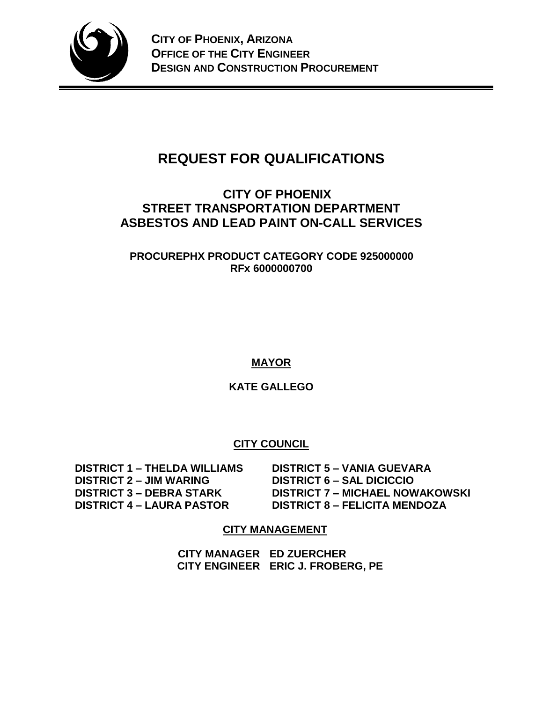

# **REQUEST FOR QUALIFICATIONS**

# **CITY OF PHOENIX STREET TRANSPORTATION DEPARTMENT ASBESTOS AND LEAD PAINT ON-CALL SERVICES**

**PROCUREPHX PRODUCT CATEGORY CODE 925000000 RFx 6000000700**

**MAYOR**

**KATE GALLEGO**

# **CITY COUNCIL**

 **DISTRICT 1 – THELDA WILLIAMS DISTRICT 5 – VANIA GUEVARA DISTRICT 2 – JIM WARING DISTRICT 6 – SAL DICICCIO**

 **DISTRICT 3 – DEBRA STARK DISTRICT 7 – MICHAEL NOWAKOWSKI DISTRICT 4 – LAURA PASTOR DISTRICT 8 – FELICITA MENDOZA**

# **CITY MANAGEMENT**

**CITY MANAGER ED ZUERCHER CITY ENGINEER ERIC J. FROBERG, PE**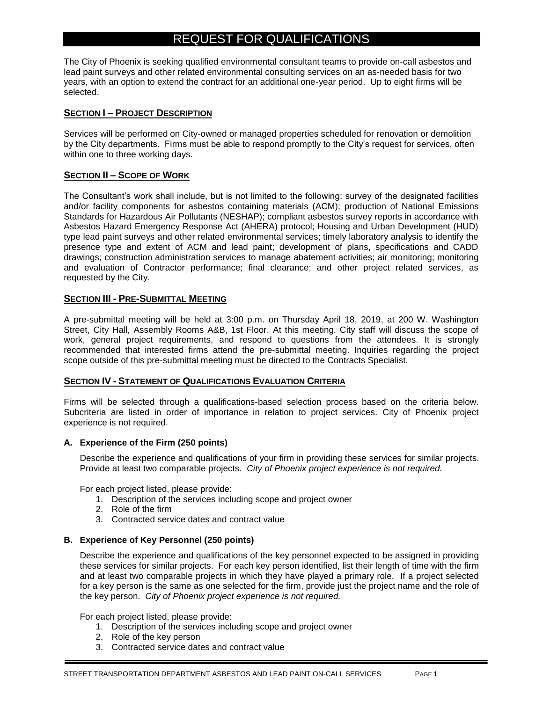# REQUEST FOR QUALIFICATIONS

The City of Phoenix is seeking qualified environmental consultant teams to provide on-call asbestos and lead paint surveys and other related environmental consulting services on an as-needed basis for two years, with an option to extend the contract for an additional one-year period. Up to eight firms will be selected.

#### **SECTION I – PROJECT DESCRIPTION**

Services will be performed on City-owned or managed properties scheduled for renovation or demolition by the City departments. Firms must be able to respond promptly to the City's request for services, often within one to three working days.

#### **SECTION II – SCOPE OF WORK**

The Consultant's work shall include, but is not limited to the following: survey of the designated facilities and/or facility components for asbestos containing materials (ACM); production of National Emissions Standards for Hazardous Air Pollutants (NESHAP); compliant asbestos survey reports in accordance with Asbestos Hazard Emergency Response Act (AHERA) protocol; Housing and Urban Development (HUD) type lead paint surveys and other related environmental services; timely laboratory analysis to identify the presence type and extent of ACM and lead paint; development of plans, specifications and CADD drawings; construction administration services to manage abatement activities; air monitoring; monitoring and evaluation of Contractor performance; final clearance; and other project related services, as requested by the City.

#### **SECTION III - PRE-SUBMITTAL MEETING**

A pre-submittal meeting will be held at 3:00 p.m. on Thursday April 18, 2019, at 200 W. Washington Street, City Hall, Assembly Rooms A&B, 1st Floor. At this meeting, City staff will discuss the scope of work, general project requirements, and respond to questions from the attendees. It is strongly recommended that interested firms attend the pre-submittal meeting. Inquiries regarding the project scope outside of this pre-submittal meeting must be directed to the Contracts Specialist.

#### **SECTION IV - STATEMENT OF QUALIFICATIONS EVALUATION CRITERIA**

Firms will be selected through a qualifications-based selection process based on the criteria below. Subcriteria are listed in order of importance in relation to project services. City of Phoenix project experience is not required.

#### **A. Experience of the Firm (250 points)**

Describe the experience and qualifications of your firm in providing these services for similar projects. Provide at least two comparable projects. *City of Phoenix project experience is not required.*

For each project listed, please provide:

- 1. Description of the services including scope and project owner
- 2. Role of the firm
- 3. Contracted service dates and contract value

#### **B. Experience of Key Personnel (250 points)**

Describe the experience and qualifications of the key personnel expected to be assigned in providing these services for similar projects. For each key person identified, list their length of time with the firm and at least two comparable projects in which they have played a primary role. If a project selected for a key person is the same as one selected for the firm, provide just the project name and the role of the key person. *City of Phoenix project experience is not required.*

For each project listed, please provide:

- 1. Description of the services including scope and project owner
- 2. Role of the key person
- 3. Contracted service dates and contract value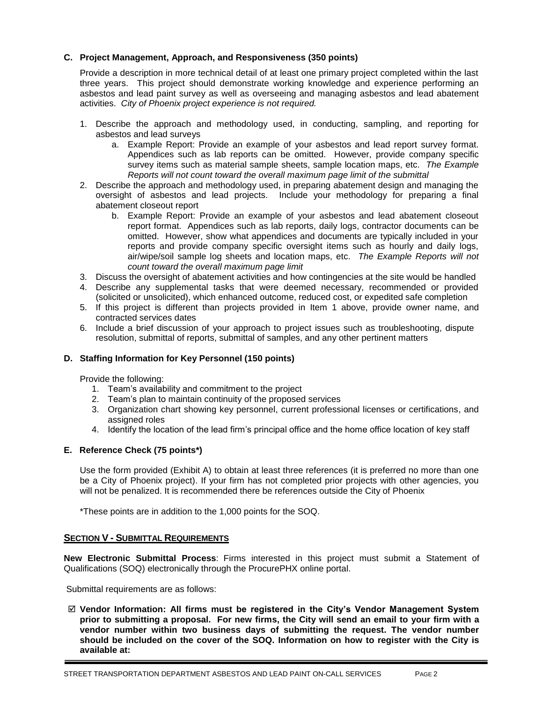#### **C. Project Management, Approach, and Responsiveness (350 points)**

Provide a description in more technical detail of at least one primary project completed within the last three years. This project should demonstrate working knowledge and experience performing an asbestos and lead paint survey as well as overseeing and managing asbestos and lead abatement activities. *City of Phoenix project experience is not required.*

- 1. Describe the approach and methodology used, in conducting, sampling, and reporting for asbestos and lead surveys
	- a. Example Report: Provide an example of your asbestos and lead report survey format. Appendices such as lab reports can be omitted. However, provide company specific survey items such as material sample sheets, sample location maps, etc. *The Example Reports will not count toward the overall maximum page limit of the submittal*
- 2. Describe the approach and methodology used, in preparing abatement design and managing the oversight of asbestos and lead projects. Include your methodology for preparing a final abatement closeout report
	- b. Example Report: Provide an example of your asbestos and lead abatement closeout report format. Appendices such as lab reports, daily logs, contractor documents can be omitted. However, show what appendices and documents are typically included in your reports and provide company specific oversight items such as hourly and daily logs, air/wipe/soil sample log sheets and location maps, etc. *The Example Reports will not count toward the overall maximum page limit*
- 3. Discuss the oversight of abatement activities and how contingencies at the site would be handled
- 4. Describe any supplemental tasks that were deemed necessary, recommended or provided (solicited or unsolicited), which enhanced outcome, reduced cost, or expedited safe completion
- 5. If this project is different than projects provided in Item 1 above, provide owner name, and contracted services dates
- 6. Include a brief discussion of your approach to project issues such as troubleshooting, dispute resolution, submittal of reports, submittal of samples, and any other pertinent matters

#### **D. Staffing Information for Key Personnel (150 points)**

Provide the following:

- 1. Team's availability and commitment to the project
- 2. Team's plan to maintain continuity of the proposed services
- 3. Organization chart showing key personnel, current professional licenses or certifications, and assigned roles
- 4. Identify the location of the lead firm's principal office and the home office location of key staff

#### **E. Reference Check (75 points\*)**

Use the form provided (Exhibit A) to obtain at least three references (it is preferred no more than one be a City of Phoenix project). If your firm has not completed prior projects with other agencies, you will not be penalized. It is recommended there be references outside the City of Phoenix

\*These points are in addition to the 1,000 points for the SOQ.

#### **SECTION V - SUBMITTAL REQUIREMENTS**

**New Electronic Submittal Process**: Firms interested in this project must submit a Statement of Qualifications (SOQ) electronically through the ProcurePHX online portal.

Submittal requirements are as follows:

 **Vendor Information: All firms must be registered in the City's Vendor Management System prior to submitting a proposal. For new firms, the City will send an email to your firm with a vendor number within two business days of submitting the request. The vendor number should be included on the cover of the SOQ. Information on how to register with the City is available at:**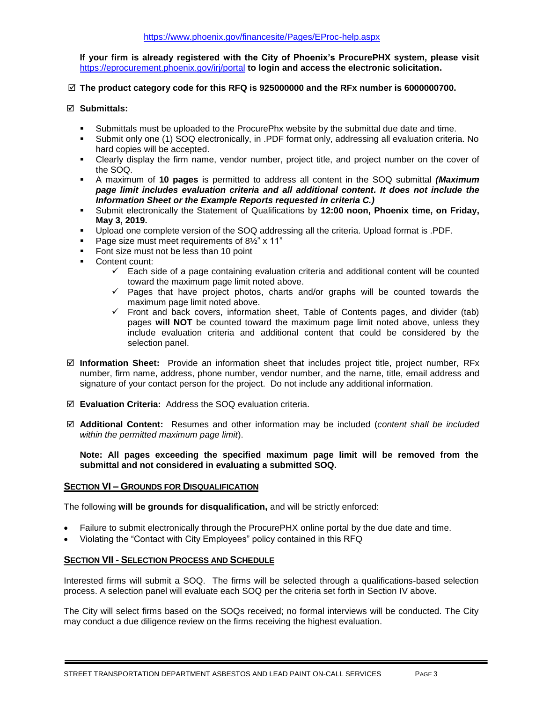**If your firm is already registered with the City of Phoenix's ProcurePHX system, please visit**  <https://eprocurement.phoenix.gov/irj/portal> **to login and access the electronic solicitation.**

#### **The product category code for this RFQ is 925000000 and the RFx number is 6000000700.**

#### **Submittals:**

- Submittals must be uploaded to the ProcurePhx website by the submittal due date and time.
- Submit only one (1) SOQ electronically, in .PDF format only, addressing all evaluation criteria. No hard copies will be accepted.
- Clearly display the firm name, vendor number, project title, and project number on the cover of the SOQ.
- A maximum of **10 pages** is permitted to address all content in the SOQ submittal *(Maximum page limit includes evaluation criteria and all additional content. It does not include the Information Sheet or the Example Reports requested in criteria C.)*
- Submit electronically the Statement of Qualifications by 12:00 noon, Phoenix time, on Friday, **May 3, 2019.**
- Upload one complete version of the SOQ addressing all the criteria. Upload format is .PDF.
- Page size must meet requirements of 8<sup>1/2</sup> x 11<sup>"</sup>
- Font size must not be less than 10 point
- Content count:
	- $\checkmark$  Each side of a page containing evaluation criteria and additional content will be counted toward the maximum page limit noted above.
	- ✓ Pages that have project photos, charts and/or graphs will be counted towards the maximum page limit noted above.
	- ✓ Front and back covers, information sheet, Table of Contents pages, and divider (tab) pages **will NOT** be counted toward the maximum page limit noted above, unless they include evaluation criteria and additional content that could be considered by the selection panel.
- **Information Sheet:** Provide an information sheet that includes project title, project number, RFx number, firm name, address, phone number, vendor number, and the name, title, email address and signature of your contact person for the project. Do not include any additional information.
- **Evaluation Criteria:** Address the SOQ evaluation criteria.
- **Additional Content:** Resumes and other information may be included (*content shall be included within the permitted maximum page limit*).

**Note: All pages exceeding the specified maximum page limit will be removed from the submittal and not considered in evaluating a submitted SOQ.** 

#### **SECTION VI – GROUNDS FOR DISQUALIFICATION**

The following **will be grounds for disqualification,** and will be strictly enforced:

- Failure to submit electronically through the ProcurePHX online portal by the due date and time.
- Violating the "Contact with City Employees" policy contained in this RFQ

#### **SECTION VII - SELECTION PROCESS AND SCHEDULE**

Interested firms will submit a SOQ. The firms will be selected through a qualifications-based selection process. A selection panel will evaluate each SOQ per the criteria set forth in Section IV above.

The City will select firms based on the SOQs received; no formal interviews will be conducted. The City may conduct a due diligence review on the firms receiving the highest evaluation.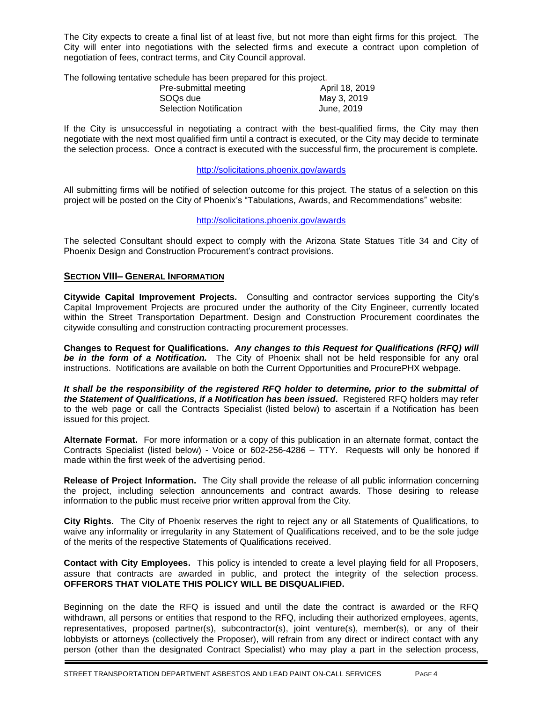The City expects to create a final list of at least five, but not more than eight firms for this project. The City will enter into negotiations with the selected firms and execute a contract upon completion of negotiation of fees, contract terms, and City Council approval.

The following tentative schedule has been prepared for this project.

| Pre-submittal meeting         | April 18, 2019 |
|-------------------------------|----------------|
| SOQs due                      | May 3, 2019    |
| <b>Selection Notification</b> | June, 2019     |

If the City is unsuccessful in negotiating a contract with the best-qualified firms, the City may then negotiate with the next most qualified firm until a contract is executed, or the City may decide to terminate the selection process. Once a contract is executed with the successful firm, the procurement is complete.

#### http://solicitations.phoenix.gov/awards

All submitting firms will be notified of selection outcome for this project. The status of a selection on this project will be posted on the City of Phoenix's "Tabulations, Awards, and Recommendations" website:

#### http://solicitations.phoenix.gov/awards

The selected Consultant should expect to comply with the Arizona State Statues Title 34 and City of Phoenix Design and Construction Procurement's contract provisions.

#### **SECTION VIII– GENERAL INFORMATION**

**Citywide Capital Improvement Projects.** Consulting and contractor services supporting the City's Capital Improvement Projects are procured under the authority of the City Engineer, currently located within the Street Transportation Department. Design and Construction Procurement coordinates the citywide consulting and construction contracting procurement processes.

**Changes to Request for Qualifications.** *Any changes to this Request for Qualifications (RFQ) will be in the form of a Notification.* The City of Phoenix shall not be held responsible for any oral instructions. Notifications are available on both the Current Opportunities and ProcurePHX webpage.

*It shall be the responsibility of the registered RFQ holder to determine, prior to the submittal of the Statement of Qualifications, if a Notification has been issued***.** Registered RFQ holders may refer to the web page or call the Contracts Specialist (listed below) to ascertain if a Notification has been issued for this project.

**Alternate Format.** For more information or a copy of this publication in an alternate format, contact the Contracts Specialist (listed below) - Voice or 602-256-4286 – TTY. Requests will only be honored if made within the first week of the advertising period.

**Release of Project Information.** The City shall provide the release of all public information concerning the project, including selection announcements and contract awards. Those desiring to release information to the public must receive prior written approval from the City.

**City Rights.** The City of Phoenix reserves the right to reject any or all Statements of Qualifications, to waive any informality or irregularity in any Statement of Qualifications received, and to be the sole judge of the merits of the respective Statements of Qualifications received.

**Contact with City Employees.** This policy is intended to create a level playing field for all Proposers, assure that contracts are awarded in public, and protect the integrity of the selection process. **OFFERORS THAT VIOLATE THIS POLICY WILL BE DISQUALIFIED.**

Beginning on the date the RFQ is issued and until the date the contract is awarded or the RFQ withdrawn, all persons or entities that respond to the RFQ, including their authorized employees, agents, representatives, proposed partner(s), subcontractor(s), joint venture(s), member(s), or any of their lobbyists or attorneys (collectively the Proposer), will refrain from any direct or indirect contact with any person (other than the designated Contract Specialist) who may play a part in the selection process,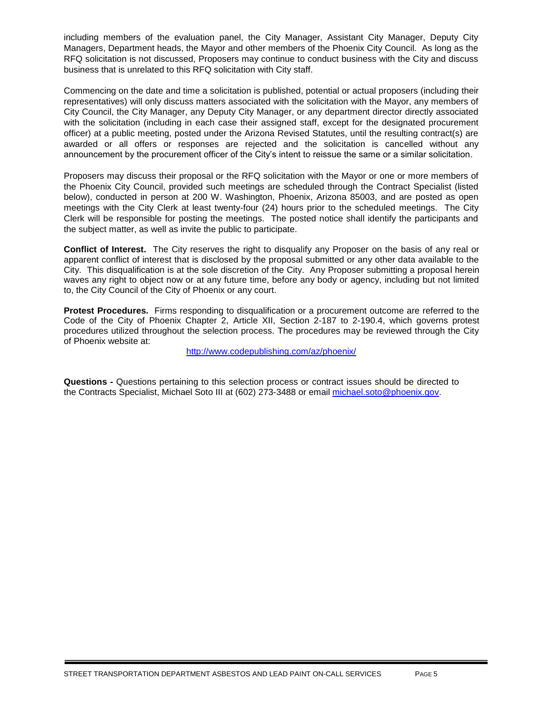including members of the evaluation panel, the City Manager, Assistant City Manager, Deputy City Managers, Department heads, the Mayor and other members of the Phoenix City Council. As long as the RFQ solicitation is not discussed, Proposers may continue to conduct business with the City and discuss business that is unrelated to this RFQ solicitation with City staff.

Commencing on the date and time a solicitation is published, potential or actual proposers (including their representatives) will only discuss matters associated with the solicitation with the Mayor, any members of City Council, the City Manager, any Deputy City Manager, or any department director directly associated with the solicitation (including in each case their assigned staff, except for the designated procurement officer) at a public meeting, posted under the Arizona Revised Statutes, until the resulting contract(s) are awarded or all offers or responses are rejected and the solicitation is cancelled without any announcement by the procurement officer of the City's intent to reissue the same or a similar solicitation.

Proposers may discuss their proposal or the RFQ solicitation with the Mayor or one or more members of the Phoenix City Council, provided such meetings are scheduled through the Contract Specialist (listed below), conducted in person at 200 W. Washington, Phoenix, Arizona 85003, and are posted as open meetings with the City Clerk at least twenty-four (24) hours prior to the scheduled meetings. The City Clerk will be responsible for posting the meetings. The posted notice shall identify the participants and the subject matter, as well as invite the public to participate.

**Conflict of Interest.** The City reserves the right to disqualify any Proposer on the basis of any real or apparent conflict of interest that is disclosed by the proposal submitted or any other data available to the City. This disqualification is at the sole discretion of the City. Any Proposer submitting a proposal herein waves any right to object now or at any future time, before any body or agency, including but not limited to, the City Council of the City of Phoenix or any court.

**Protest Procedures.** Firms responding to disqualification or a procurement outcome are referred to the Code of the City of Phoenix Chapter 2, Article XII, Section 2-187 to 2-190.4, which governs protest procedures utilized throughout the selection process. The procedures may be reviewed through the City of Phoenix website at:

<http://www.codepublishing.com/az/phoenix/>

**Questions -** Questions pertaining to this selection process or contract issues should be directed to the Contracts Specialist, Michael Soto III at (602) 273-3488 or email [michael.soto@phoenix.gov.](mailto:michael.soto@phoenix.gov)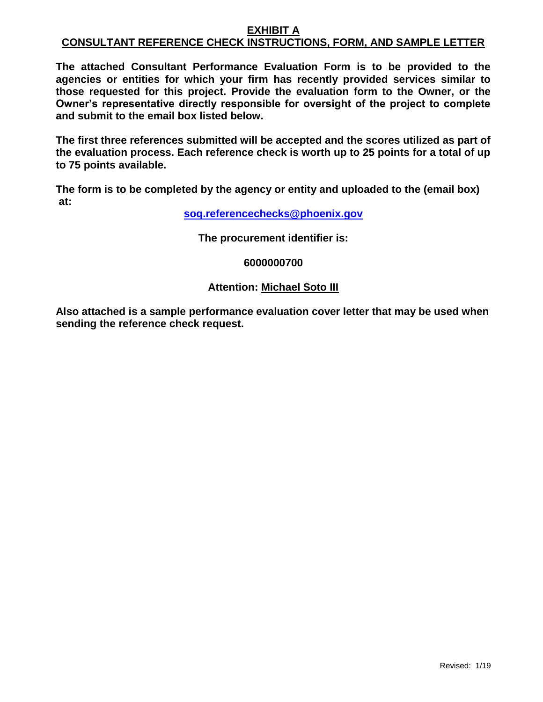#### **EXHIBIT A CONSULTANT REFERENCE CHECK INSTRUCTIONS, FORM, AND SAMPLE LETTER**

**The attached Consultant Performance Evaluation Form is to be provided to the agencies or entities for which your firm has recently provided services similar to those requested for this project. Provide the evaluation form to the Owner, or the Owner's representative directly responsible for oversight of the project to complete and submit to the email box listed below.**

**The first three references submitted will be accepted and the scores utilized as part of the evaluation process. Each reference check is worth up to 25 points for a total of up to 75 points available.**

**The form is to be completed by the agency or entity and uploaded to the (email box) at:** 

**[soq.referencechecks@phoenix.gov](mailto:soq.referencechecks@phoenix.gov)**

**The procurement identifier is:**

### **6000000700**

### **Attention: Michael Soto III**

**Also attached is a sample performance evaluation cover letter that may be used when sending the reference check request.**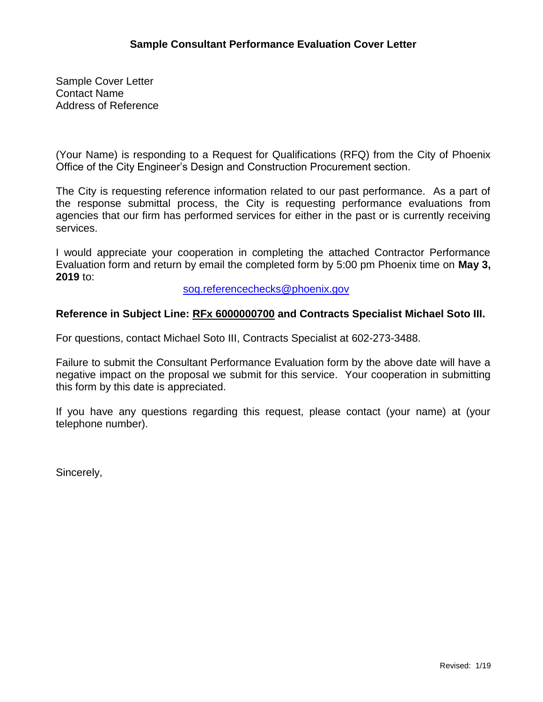Sample Cover Letter Contact Name Address of Reference

(Your Name) is responding to a Request for Qualifications (RFQ) from the City of Phoenix Office of the City Engineer's Design and Construction Procurement section.

The City is requesting reference information related to our past performance. As a part of the response submittal process, the City is requesting performance evaluations from agencies that our firm has performed services for either in the past or is currently receiving services.

I would appreciate your cooperation in completing the attached Contractor Performance Evaluation form and return by email the completed form by 5:00 pm Phoenix time on **May 3, 2019** to:

[soq.referencechecks@phoenix.gov](mailto:soq.referencechecks@phoenix.gov)

### **Reference in Subject Line: RFx 6000000700 and Contracts Specialist Michael Soto III.**

For questions, contact Michael Soto III, Contracts Specialist at 602-273-3488.

Failure to submit the Consultant Performance Evaluation form by the above date will have a negative impact on the proposal we submit for this service. Your cooperation in submitting this form by this date is appreciated.

If you have any questions regarding this request, please contact (your name) at (your telephone number).

Sincerely,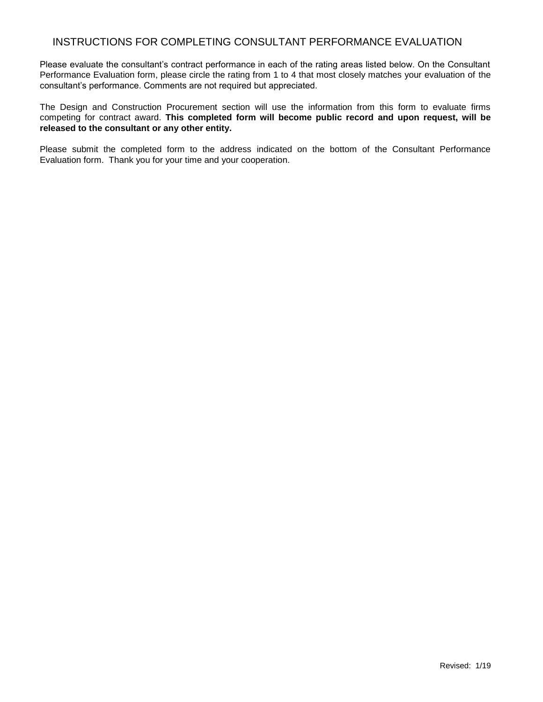### INSTRUCTIONS FOR COMPLETING CONSULTANT PERFORMANCE EVALUATION

Please evaluate the consultant's contract performance in each of the rating areas listed below. On the Consultant Performance Evaluation form, please circle the rating from 1 to 4 that most closely matches your evaluation of the consultant's performance. Comments are not required but appreciated.

The Design and Construction Procurement section will use the information from this form to evaluate firms competing for contract award. **This completed form will become public record and upon request, will be released to the consultant or any other entity.**

Please submit the completed form to the address indicated on the bottom of the Consultant Performance Evaluation form. Thank you for your time and your cooperation.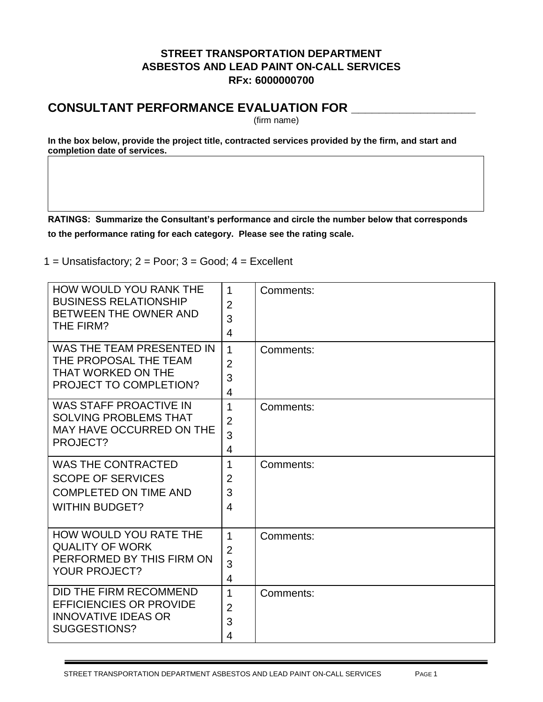## **STREET TRANSPORTATION DEPARTMENT ASBESTOS AND LEAD PAINT ON-CALL SERVICES RFx: 6000000700**

# **CONSULTANT PERFORMANCE EVALUATION FOR \_\_\_\_\_\_\_\_\_\_\_\_\_\_\_\_\_\_**

(firm name)

**In the box below, provide the project title, contracted services provided by the firm, and start and completion date of services.**

**RATINGS: Summarize the Consultant's performance and circle the number below that corresponds to the performance rating for each category. Please see the rating scale.**

 $1 =$  Unsatisfactory;  $2 =$  Poor;  $3 =$  Good;  $4 =$  Excellent

| <b>HOW WOULD YOU RANK THE</b><br><b>BUSINESS RELATIONSHIP</b><br>BETWEEN THE OWNER AND<br>THE FIRM?            | $\mathbf 1$<br>$\overline{2}$<br>3<br>4  | Comments: |
|----------------------------------------------------------------------------------------------------------------|------------------------------------------|-----------|
| WAS THE TEAM PRESENTED IN<br>THE PROPOSAL THE TEAM<br>THAT WORKED ON THE<br><b>PROJECT TO COMPLETION?</b>      | $\mathbf{1}$<br>$\overline{2}$<br>3<br>4 | Comments: |
| <b>WAS STAFF PROACTIVE IN</b><br><b>SOLVING PROBLEMS THAT</b><br>MAY HAVE OCCURRED ON THE<br>PROJECT?          | 1<br>$\overline{2}$<br>3<br>4            | Comments: |
| <b>WAS THE CONTRACTED</b><br><b>SCOPE OF SERVICES</b><br><b>COMPLETED ON TIME AND</b><br><b>WITHIN BUDGET?</b> | $\mathbf{1}$<br>$\overline{2}$<br>3<br>4 | Comments: |
| HOW WOULD YOU RATE THE<br><b>QUALITY OF WORK</b><br>PERFORMED BY THIS FIRM ON<br><b>YOUR PROJECT?</b>          | 1<br>$\overline{2}$<br>3<br>4            | Comments: |
| DID THE FIRM RECOMMEND<br><b>EFFICIENCIES OR PROVIDE</b><br><b>INNOVATIVE IDEAS OR</b><br>SUGGESTIONS?         | 1<br>$\overline{2}$<br>3<br>4            | Comments: |